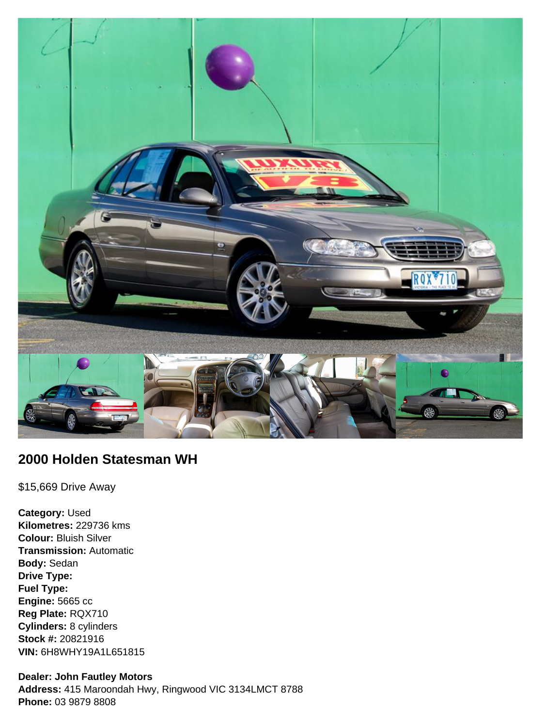

## **2000 Holden Statesman WH**

\$15,669 Drive Away

**Category:** Used **Kilometres:** 229736 kms **Colour:** Bluish Silver **Transmission:** Automatic **Body:** Sedan **Drive Type: Fuel Type: Engine:** 5665 cc **Reg Plate:** RQX710 **Cylinders:** 8 cylinders **Stock #:** 20821916 **VIN:** 6H8WHY19A1L651815

#### **Dealer: John Fautley Motors**

**Address:** 415 Maroondah Hwy, Ringwood VIC 3134LMCT 8788 **Phone:** 03 9879 8808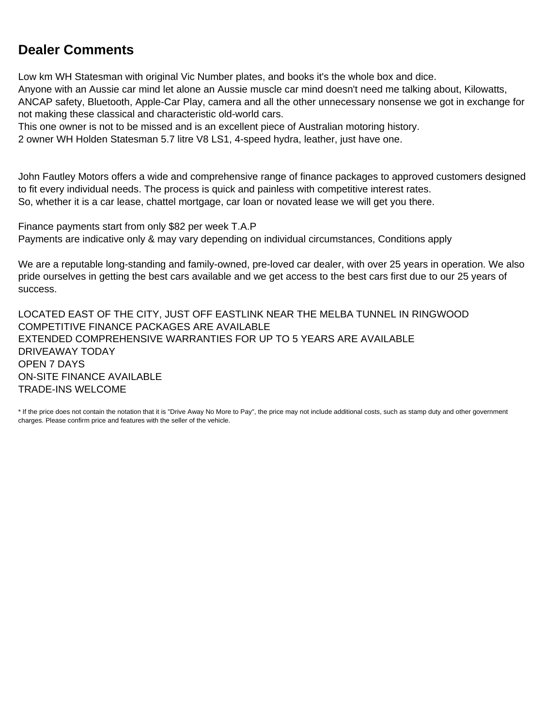## **Dealer Comments**

Low km WH Statesman with original Vic Number plates, and books it's the whole box and dice. Anyone with an Aussie car mind let alone an Aussie muscle car mind doesn't need me talking about, Kilowatts, ANCAP safety, Bluetooth, Apple-Car Play, camera and all the other unnecessary nonsense we got in exchange for not making these classical and characteristic old-world cars.

This one owner is not to be missed and is an excellent piece of Australian motoring history.

2 owner WH Holden Statesman 5.7 litre V8 LS1, 4-speed hydra, leather, just have one.

John Fautley Motors offers a wide and comprehensive range of finance packages to approved customers designed to fit every individual needs. The process is quick and painless with competitive interest rates. So, whether it is a car lease, chattel mortgage, car loan or novated lease we will get you there.

Finance payments start from only \$82 per week T.A.P Payments are indicative only & may vary depending on individual circumstances, Conditions apply

We are a reputable long-standing and family-owned, pre-loved car dealer, with over 25 years in operation. We also pride ourselves in getting the best cars available and we get access to the best cars first due to our 25 years of success.

LOCATED EAST OF THE CITY, JUST OFF EASTLINK NEAR THE MELBA TUNNEL IN RINGWOOD COMPETITIVE FINANCE PACKAGES ARE AVAILABLE EXTENDED COMPREHENSIVE WARRANTIES FOR UP TO 5 YEARS ARE AVAILABLE DRIVEAWAY TODAY OPEN 7 DAYS ON-SITE FINANCE AVAILABLE TRADE-INS WELCOME

\* If the price does not contain the notation that it is "Drive Away No More to Pay", the price may not include additional costs, such as stamp duty and other government charges. Please confirm price and features with the seller of the vehicle.